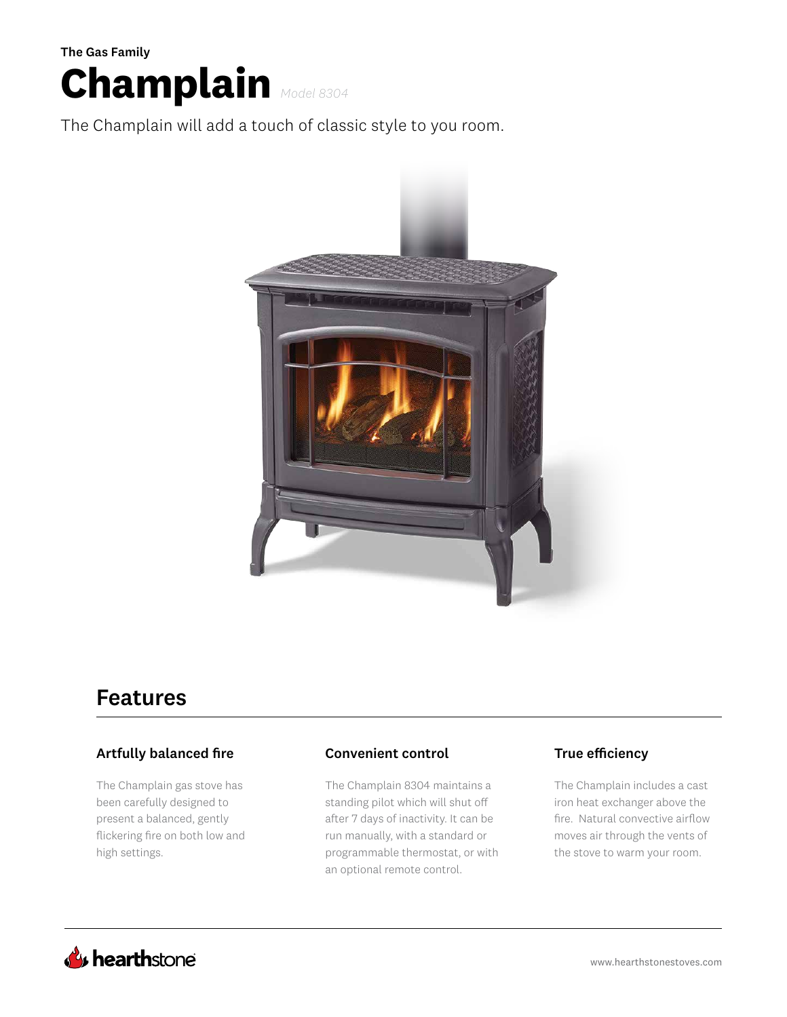

The Champlain will add a touch of classic style to you room.



## Features

### Artfully balanced fire

The Champlain gas stove has been carefully designed to present a balanced, gently flickering fire on both low and high settings.

### Convenient control True efficiency

The Champlain 8304 maintains a standing pilot which will shut off after 7 days of inactivity. It can be run manually, with a standard or programmable thermostat, or with an optional remote control.

The Champlain includes a cast iron heat exchanger above the fire. Natural convective airflow moves air through the vents of the stove to warm your room.